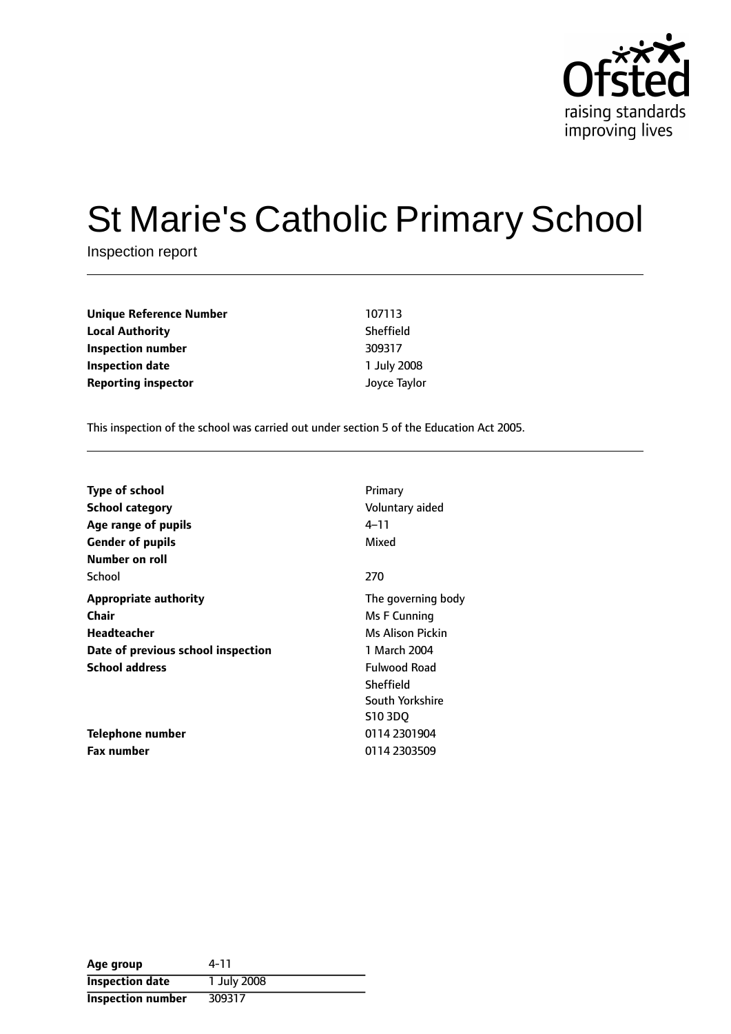

# St Marie's Catholic Primary School

Inspection report

| Unique Reference Number    | 107113       |
|----------------------------|--------------|
| Local Authority            | Sheffield    |
| Inspection number          | 309317       |
| Inspection date            | 1 July 2008  |
| <b>Reporting inspector</b> | Joyce Taylor |
|                            |              |

This inspection of the school was carried out under section 5 of the Education Act 2005.

| <b>Type of school</b><br><b>School category</b><br>Age range of pupils<br><b>Gender of pupils</b><br>Number on roll        | Primary<br>Voluntary aided<br>4–11<br>Mixed                                                                |
|----------------------------------------------------------------------------------------------------------------------------|------------------------------------------------------------------------------------------------------------|
| School                                                                                                                     | 270                                                                                                        |
| <b>Appropriate authority</b><br><b>Chair</b><br>Headteacher<br>Date of previous school inspection<br><b>School address</b> | The governing body<br>Ms F Cunning<br>Ms Alison Pickin<br>1 March 2004<br><b>Fulwood Road</b><br>Sheffield |
| <b>Telephone number</b>                                                                                                    | South Yorkshire<br>S103DQ<br>0114 2301904                                                                  |
| Fax number                                                                                                                 | 0114 2303509                                                                                               |

| Age group                | 4-11        |
|--------------------------|-------------|
| <b>Inspection date</b>   | 1 July 2008 |
| <b>Inspection number</b> | 309317      |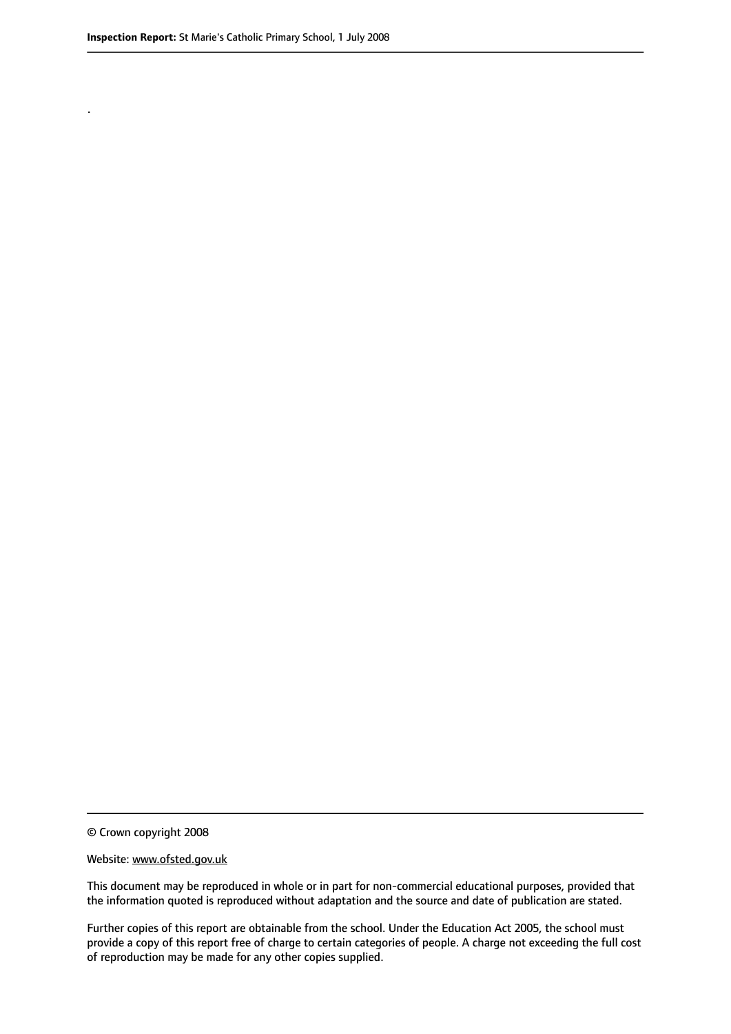.

This document may be reproduced in whole or in part for non-commercial educational purposes, provided that the information quoted is reproduced without adaptation and the source and date of publication are stated.

Further copies of this report are obtainable from the school. Under the Education Act 2005, the school must provide a copy of this report free of charge to certain categories of people. A charge not exceeding the full cost of reproduction may be made for any other copies supplied.

<sup>©</sup> Crown copyright 2008

Website: www.ofsted.gov.uk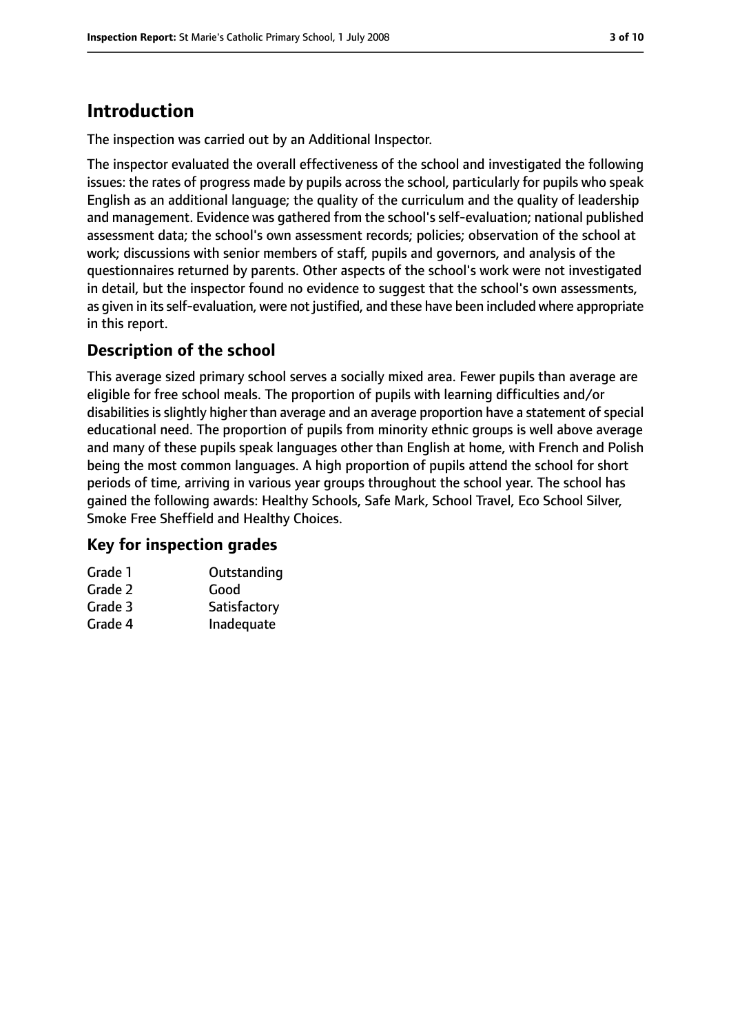# **Introduction**

The inspection was carried out by an Additional Inspector.

The inspector evaluated the overall effectiveness of the school and investigated the following issues: the rates of progress made by pupils across the school, particularly for pupils who speak English as an additional language; the quality of the curriculum and the quality of leadership and management. Evidence was gathered from the school's self-evaluation; national published assessment data; the school's own assessment records; policies; observation of the school at work; discussions with senior members of staff, pupils and governors, and analysis of the questionnaires returned by parents. Other aspects of the school's work were not investigated in detail, but the inspector found no evidence to suggest that the school's own assessments, as given in its self-evaluation, were not justified, and these have been included where appropriate in this report.

# **Description of the school**

This average sized primary school serves a socially mixed area. Fewer pupils than average are eligible for free school meals. The proportion of pupils with learning difficulties and/or disabilities is slightly higher than average and an average proportion have a statement of special educational need. The proportion of pupils from minority ethnic groups is well above average and many of these pupils speak languages other than English at home, with French and Polish being the most common languages. A high proportion of pupils attend the school for short periods of time, arriving in various year groups throughout the school year. The school has gained the following awards: Healthy Schools, Safe Mark, School Travel, Eco School Silver, Smoke Free Sheffield and Healthy Choices.

## **Key for inspection grades**

| Grade 1 | Outstanding  |
|---------|--------------|
| Grade 2 | Good         |
| Grade 3 | Satisfactory |
| Grade 4 | Inadequate   |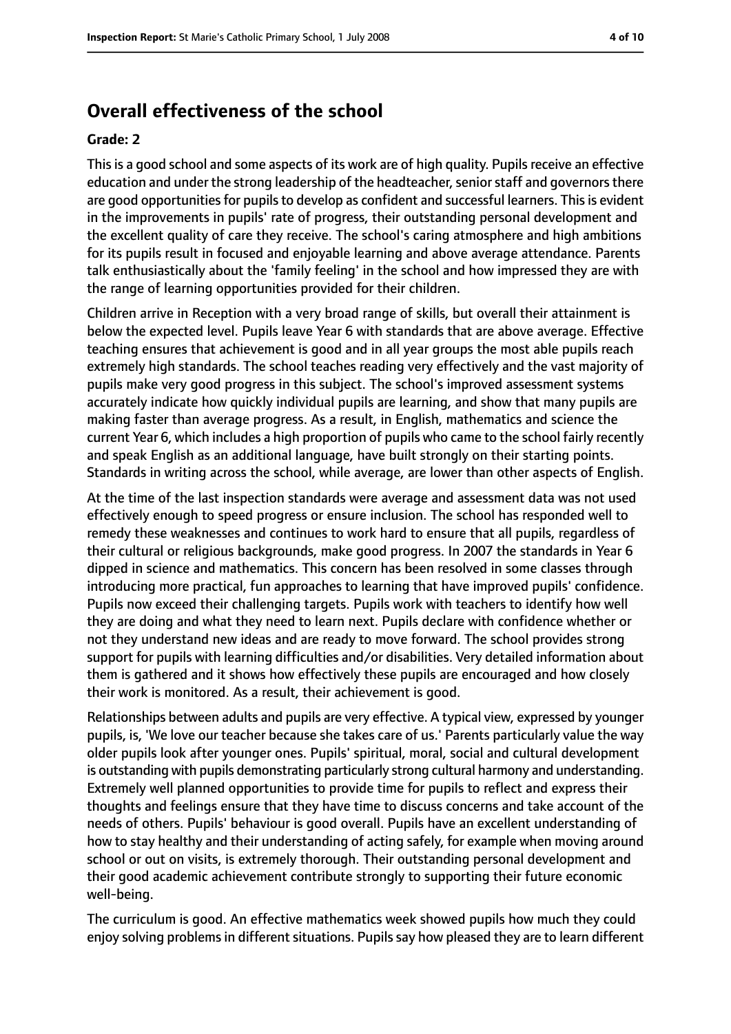# **Overall effectiveness of the school**

#### **Grade: 2**

This is a good school and some aspects of its work are of high quality. Pupils receive an effective education and under the strong leadership of the headteacher, senior staff and governors there are good opportunities for pupils to develop as confident and successful learners. This is evident in the improvements in pupils' rate of progress, their outstanding personal development and the excellent quality of care they receive. The school's caring atmosphere and high ambitions for its pupils result in focused and enjoyable learning and above average attendance. Parents talk enthusiastically about the 'family feeling' in the school and how impressed they are with the range of learning opportunities provided for their children.

Children arrive in Reception with a very broad range of skills, but overall their attainment is below the expected level. Pupils leave Year 6 with standards that are above average. Effective teaching ensures that achievement is good and in all year groups the most able pupils reach extremely high standards. The school teaches reading very effectively and the vast majority of pupils make very good progress in this subject. The school's improved assessment systems accurately indicate how quickly individual pupils are learning, and show that many pupils are making faster than average progress. As a result, in English, mathematics and science the current Year 6, which includes a high proportion of pupils who came to the school fairly recently and speak English as an additional language, have built strongly on their starting points. Standards in writing across the school, while average, are lower than other aspects of English.

At the time of the last inspection standards were average and assessment data was not used effectively enough to speed progress or ensure inclusion. The school has responded well to remedy these weaknesses and continues to work hard to ensure that all pupils, regardless of their cultural or religious backgrounds, make good progress. In 2007 the standards in Year 6 dipped in science and mathematics. This concern has been resolved in some classes through introducing more practical, fun approaches to learning that have improved pupils' confidence. Pupils now exceed their challenging targets. Pupils work with teachers to identify how well they are doing and what they need to learn next. Pupils declare with confidence whether or not they understand new ideas and are ready to move forward. The school provides strong support for pupils with learning difficulties and/or disabilities. Very detailed information about them is gathered and it shows how effectively these pupils are encouraged and how closely their work is monitored. As a result, their achievement is good.

Relationships between adults and pupils are very effective. A typical view, expressed by younger pupils, is, 'We love our teacher because she takes care of us.' Parents particularly value the way older pupils look after younger ones. Pupils' spiritual, moral, social and cultural development is outstanding with pupils demonstrating particularly strong cultural harmony and understanding. Extremely well planned opportunities to provide time for pupils to reflect and express their thoughts and feelings ensure that they have time to discuss concerns and take account of the needs of others. Pupils' behaviour is good overall. Pupils have an excellent understanding of how to stay healthy and their understanding of acting safely, for example when moving around school or out on visits, is extremely thorough. Their outstanding personal development and their good academic achievement contribute strongly to supporting their future economic well-being.

The curriculum is good. An effective mathematics week showed pupils how much they could enjoy solving problems in different situations. Pupils say how pleased they are to learn different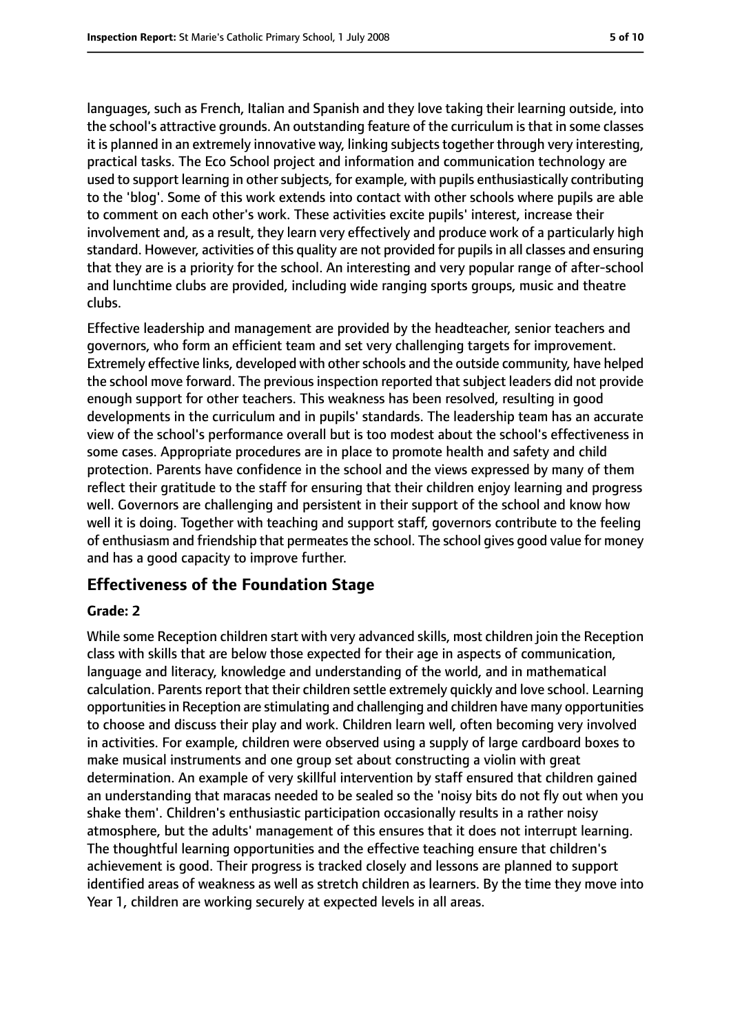languages, such as French, Italian and Spanish and they love taking their learning outside, into the school's attractive grounds. An outstanding feature of the curriculum is that in some classes it is planned in an extremely innovative way, linking subjects together through very interesting, practical tasks. The Eco School project and information and communication technology are used to support learning in other subjects, for example, with pupils enthusiastically contributing to the 'blog'. Some of this work extends into contact with other schools where pupils are able to comment on each other's work. These activities excite pupils' interest, increase their involvement and, as a result, they learn very effectively and produce work of a particularly high standard. However, activities of this quality are not provided for pupilsin all classes and ensuring that they are is a priority for the school. An interesting and very popular range of after-school and lunchtime clubs are provided, including wide ranging sports groups, music and theatre clubs.

Effective leadership and management are provided by the headteacher, senior teachers and governors, who form an efficient team and set very challenging targets for improvement. Extremely effective links, developed with other schools and the outside community, have helped the school move forward. The previous inspection reported that subject leaders did not provide enough support for other teachers. This weakness has been resolved, resulting in good developments in the curriculum and in pupils' standards. The leadership team has an accurate view of the school's performance overall but is too modest about the school's effectiveness in some cases. Appropriate procedures are in place to promote health and safety and child protection. Parents have confidence in the school and the views expressed by many of them reflect their gratitude to the staff for ensuring that their children enjoy learning and progress well. Governors are challenging and persistent in their support of the school and know how well it is doing. Together with teaching and support staff, governors contribute to the feeling of enthusiasm and friendship that permeatesthe school. The school gives good value for money and has a good capacity to improve further.

## **Effectiveness of the Foundation Stage**

#### **Grade: 2**

While some Reception children start with very advanced skills, most children join the Reception class with skills that are below those expected for their age in aspects of communication, language and literacy, knowledge and understanding of the world, and in mathematical calculation. Parents report that their children settle extremely quickly and love school. Learning opportunities in Reception are stimulating and challenging and children have many opportunities to choose and discuss their play and work. Children learn well, often becoming very involved in activities. For example, children were observed using a supply of large cardboard boxes to make musical instruments and one group set about constructing a violin with great determination. An example of very skillful intervention by staff ensured that children gained an understanding that maracas needed to be sealed so the 'noisy bits do not fly out when you shake them'. Children's enthusiastic participation occasionally results in a rather noisy atmosphere, but the adults' management of this ensures that it does not interrupt learning. The thoughtful learning opportunities and the effective teaching ensure that children's achievement is good. Their progress is tracked closely and lessons are planned to support identified areas of weakness as well as stretch children as learners. By the time they move into Year 1, children are working securely at expected levels in all areas.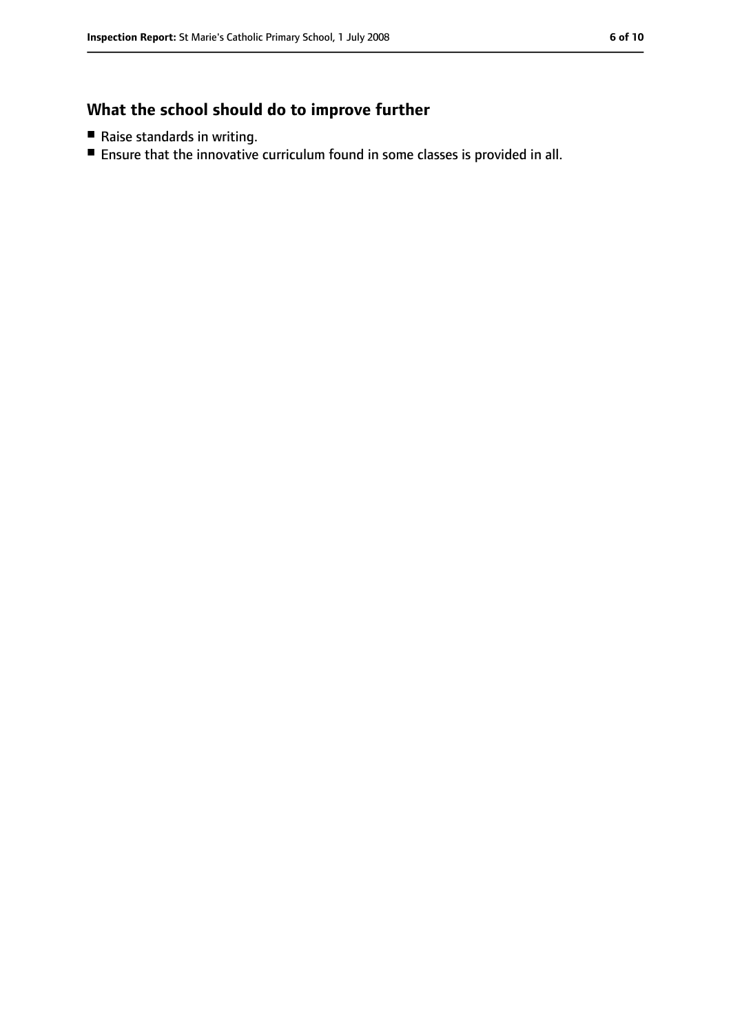# **What the school should do to improve further**

- Raise standards in writing.
- Ensure that the innovative curriculum found in some classes is provided in all.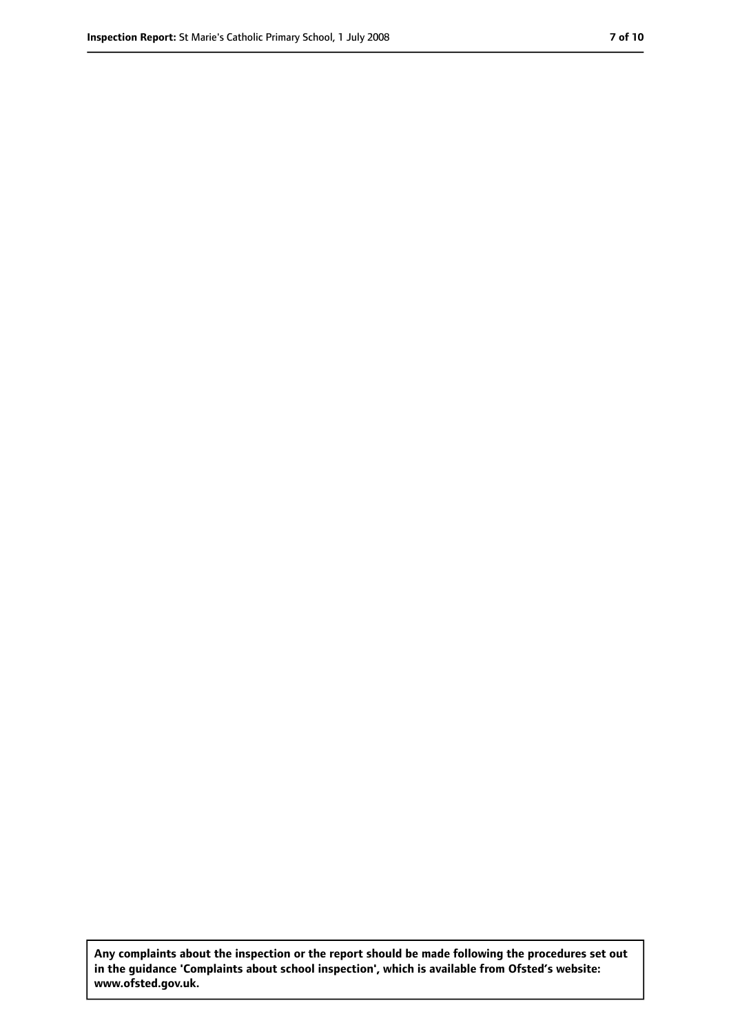**Any complaints about the inspection or the report should be made following the procedures set out in the guidance 'Complaints about school inspection', which is available from Ofsted's website: www.ofsted.gov.uk.**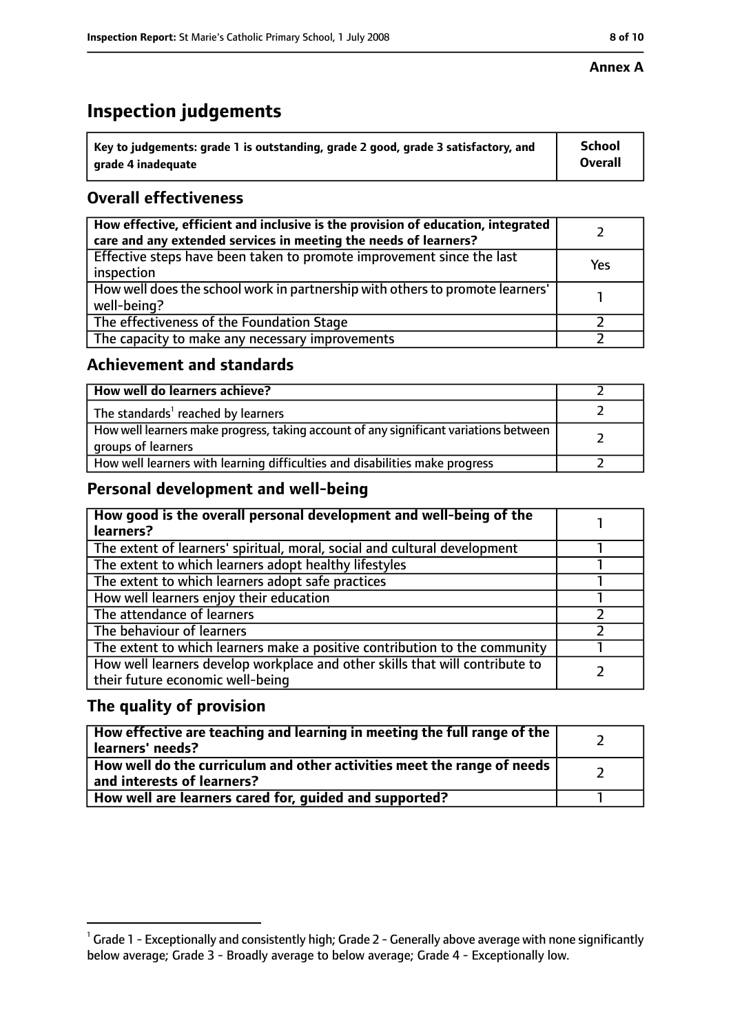#### **Annex A**

# **Inspection judgements**

| $^{\backprime}$ Key to judgements: grade 1 is outstanding, grade 2 good, grade 3 satisfactory, and | <b>School</b>  |
|----------------------------------------------------------------------------------------------------|----------------|
| arade 4 inadequate                                                                                 | <b>Overall</b> |

# **Overall effectiveness**

| How effective, efficient and inclusive is the provision of education, integrated<br>care and any extended services in meeting the needs of learners? |     |
|------------------------------------------------------------------------------------------------------------------------------------------------------|-----|
| Effective steps have been taken to promote improvement since the last<br>inspection                                                                  | Yes |
| How well does the school work in partnership with others to promote learners'<br>well-being?                                                         |     |
| The effectiveness of the Foundation Stage                                                                                                            |     |
| The capacity to make any necessary improvements                                                                                                      |     |

## **Achievement and standards**

| How well do learners achieve?                                                                               |  |
|-------------------------------------------------------------------------------------------------------------|--|
| The standards <sup>1</sup> reached by learners                                                              |  |
| How well learners make progress, taking account of any significant variations between<br>groups of learners |  |
| How well learners with learning difficulties and disabilities make progress                                 |  |

## **Personal development and well-being**

| How good is the overall personal development and well-being of the<br>learners?                                  |  |
|------------------------------------------------------------------------------------------------------------------|--|
| The extent of learners' spiritual, moral, social and cultural development                                        |  |
| The extent to which learners adopt healthy lifestyles                                                            |  |
| The extent to which learners adopt safe practices                                                                |  |
| How well learners enjoy their education                                                                          |  |
| The attendance of learners                                                                                       |  |
| The behaviour of learners                                                                                        |  |
| The extent to which learners make a positive contribution to the community                                       |  |
| How well learners develop workplace and other skills that will contribute to<br>their future economic well-being |  |

# **The quality of provision**

| How effective are teaching and learning in meeting the full range of the<br>learners' needs?          |  |
|-------------------------------------------------------------------------------------------------------|--|
| How well do the curriculum and other activities meet the range of needs<br>and interests of learners? |  |
| How well are learners cared for, guided and supported?                                                |  |

 $^1$  Grade 1 - Exceptionally and consistently high; Grade 2 - Generally above average with none significantly below average; Grade 3 - Broadly average to below average; Grade 4 - Exceptionally low.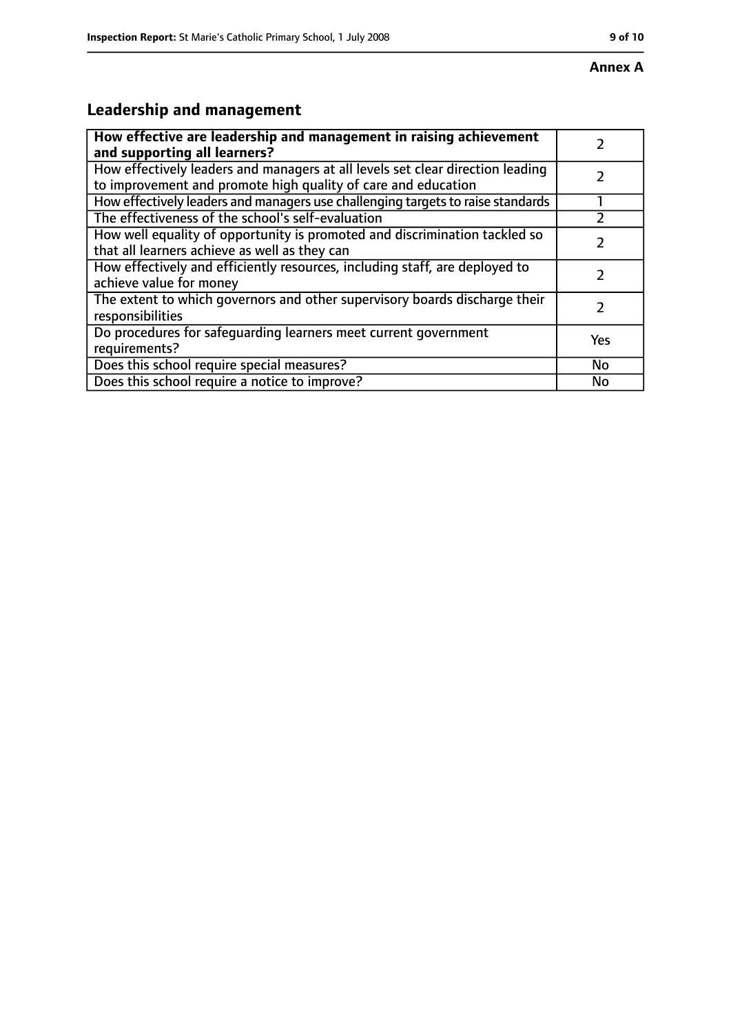# **Leadership and management**

| How effective are leadership and management in raising achievement<br>and supporting all learners?                                              |     |
|-------------------------------------------------------------------------------------------------------------------------------------------------|-----|
| How effectively leaders and managers at all levels set clear direction leading<br>to improvement and promote high quality of care and education |     |
| How effectively leaders and managers use challenging targets to raise standards                                                                 |     |
| The effectiveness of the school's self-evaluation                                                                                               |     |
| How well equality of opportunity is promoted and discrimination tackled so<br>that all learners achieve as well as they can                     |     |
| How effectively and efficiently resources, including staff, are deployed to<br>achieve value for money                                          |     |
| The extent to which governors and other supervisory boards discharge their<br>responsibilities                                                  |     |
| Do procedures for safequarding learners meet current government<br>requirements?                                                                | Yes |
| Does this school require special measures?                                                                                                      | No  |
| Does this school require a notice to improve?                                                                                                   | No  |